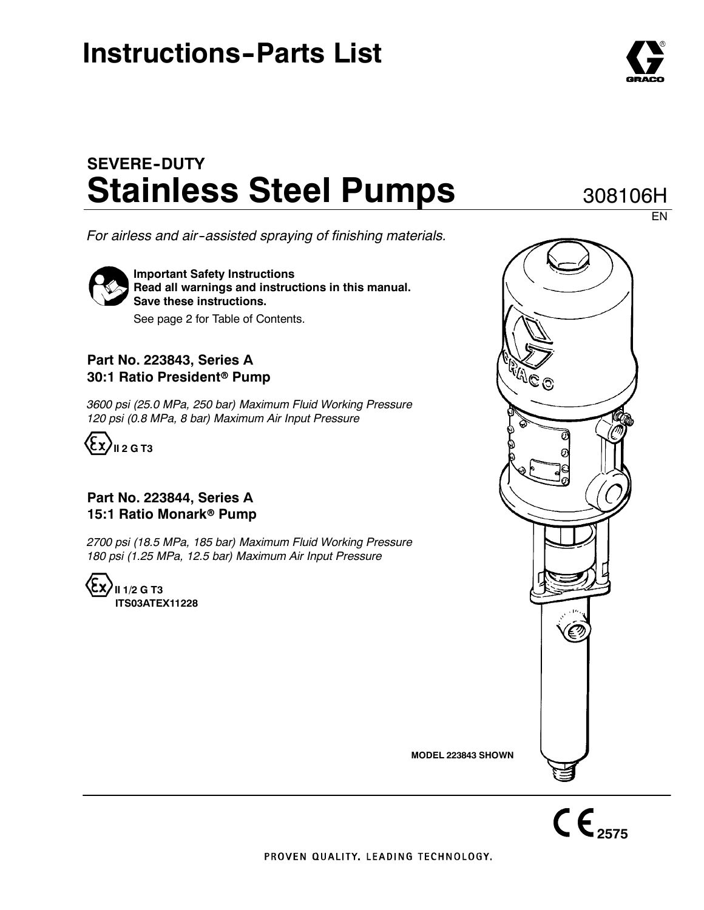## **Instructions-Parts List**

## **SEVERE--DUTY Stainless Steel Pumps**

*For airless and air--assisted spraying of finishing materials.*

**Important Safety Instructions Read all warnings and instructions in this manual. Save these instructions.**

See page 2 for Table of Contents.

### **Part No. 223843, Series A 30:1 Ratio President<sup>®</sup> Pump**

*3600 psi (25.0 MPa, 250 bar) Maximum Fluid Working Pressure 120 psi (0.8 MPa, 8 bar) Maximum Air Input Pressure*



### **Part No. 223844, Series A 15:1 Ratio Monark<sup>®</sup> Pump**

*2700 psi (18.5 MPa, 185 bar) Maximum Fluid Working Pressure 180 psi (1.25 MPa, 12.5 bar) Maximum Air Input Pressure*

**II 1/2 G T3 ITS03ATEX11228**





PROVEN QUALITY, LEADING TECHNOLOGY,



EN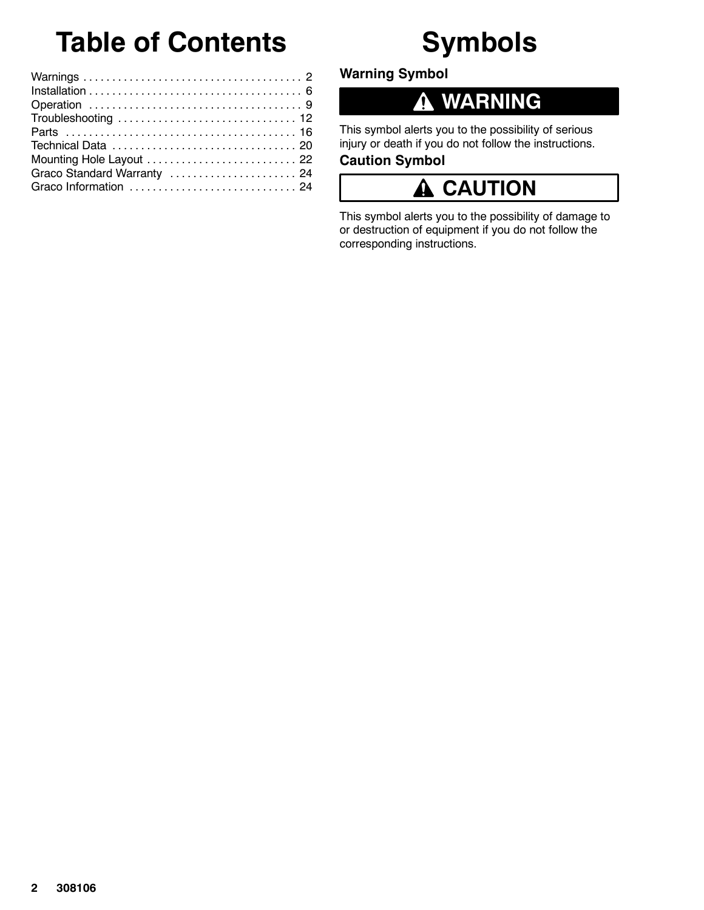# **Table of Contents**

## **Symbols**

| Mounting Hole Layout  22    |  |
|-----------------------------|--|
| Graco Standard Warranty  24 |  |
|                             |  |
|                             |  |

**Warning Symbol**

#### **WARNING** 0

This symbol alerts you to the possibility of serious injury or death if you do not follow the instructions.

### **Caution Symbol**

#### **CAUTION** A

This symbol alerts you to the possibility of damage to or destruction of equipment if you do not follow the corresponding instructions.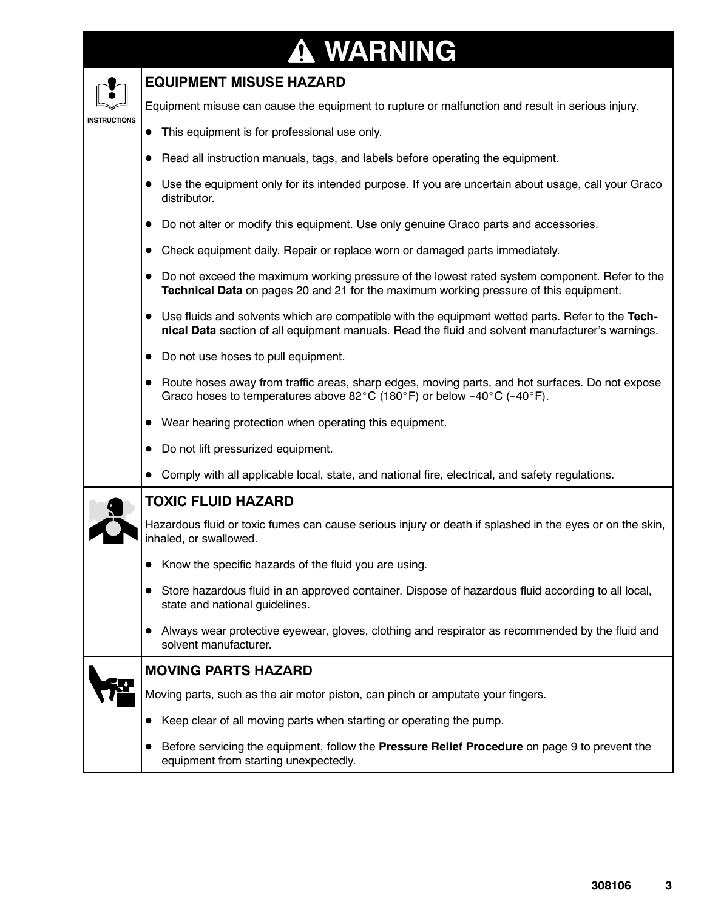### **WARNING INSTRUCTIONS EQUIPMENT MISUSE HAZARD** Equipment misuse can cause the equipment to rupture or malfunction and result in serious injury. • This equipment is for professional use only. Read all instruction manuals, tags, and labels before operating the equipment. • Use the equipment only for its intended purpose. If you are uncertain about usage, call your Graco distributor. • Do not alter or modify this equipment. Use only genuine Graco parts and accessories. • Check equipment daily. Repair or replace worn or damaged parts immediately. • Do not exceed the maximum working pressure of the lowest rated system component. Refer to the **Technical Data** on pages 20 and 21 for the maximum working pressure of this equipment. • Use fluids and solvents which are compatible with the equipment wetted parts. Refer to the Tech**nical Data** section of all equipment manuals. Read the fluid and solvent manufacturer's warnings. • Do not use hoses to pull equipment. • Route hoses away from traffic areas, sharp edges, moving parts, and hot surfaces. Do not expose Graco hoses to temperatures above 82°C (180°F) or below -40°C (-40°F).  $\bullet$  Wear hearing protection when operating this equipment. • Do not lift pressurized equipment. • Comply with all applicable local, state, and national fire, electrical, and safety regulations. **TOXIC FLUID HAZARD** Hazardous fluid or toxic fumes can cause serious injury or death if splashed in the eyes or on the skin, inhaled, or swallowed.  $\bullet$  Know the specific hazards of the fluid you are using. • Store hazardous fluid in an approved container. Dispose of hazardous fluid according to all local, state and national guidelines. • Always wear protective eyewear, gloves, clothing and respirator as recommended by the fluid and solvent manufacturer. **MOVING PARTS HAZARD** Moving parts, such as the air motor piston, can pinch or amputate your fingers. • Keep clear of all moving parts when starting or operating the pump. **•** Before servicing the equipment, follow the **Pressure Relief Procedure** on page 9 to prevent the equipment from starting unexpectedly.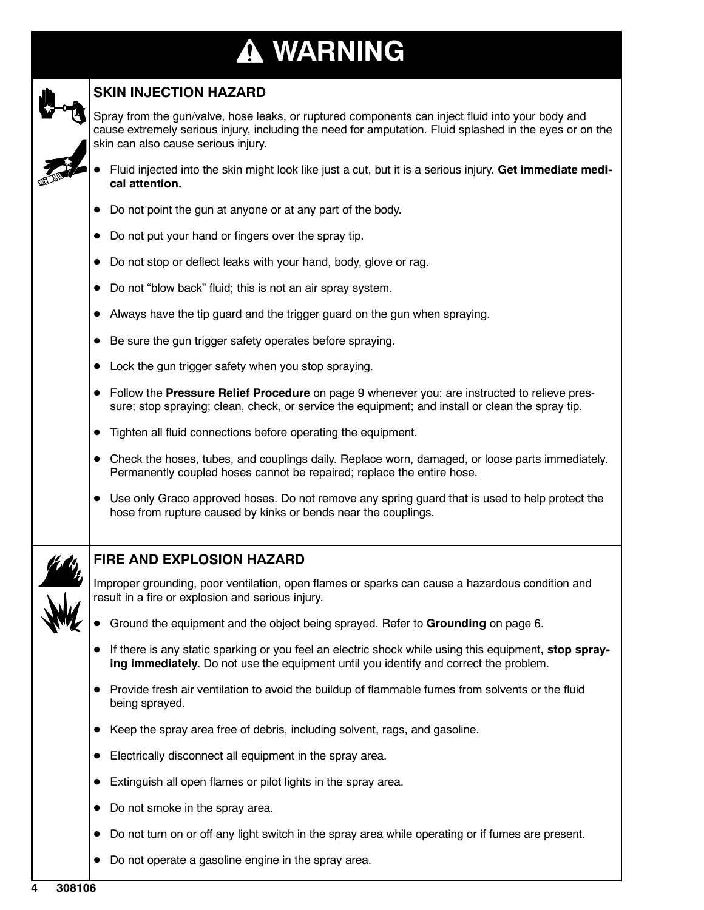# **WARNING**



### **SKIN INJECTION HAZARD**

Spray from the gun/valve, hose leaks, or ruptured components can inject fluid into your body and cause extremely serious injury, including the need for amputation. Fluid splashed in the eyes or on the skin can also cause serious injury.

- D Fluid injected into the skin might look like just a cut, but it is a serious injury. **Get immediate medical attention.**
- Do not point the gun at anyone or at any part of the body.
- Do not put your hand or fingers over the spray tip.
- Do not stop or deflect leaks with your hand, body, glove or rag.
- $\bullet$  Do not "blow back" fluid; this is not an air spray system.
- Always have the tip guard and the trigger guard on the gun when spraying.
- Be sure the gun trigger safety operates before spraying.
- Lock the gun trigger safety when you stop spraying.
- **Follow the Pressure Relief Procedure** on page 9 whenever you: are instructed to relieve pressure; stop spraying; clean, check, or service the equipment; and install or clean the spray tip.
- Tighten all fluid connections before operating the equipment.
- Check the hoses, tubes, and couplings daily. Replace worn, damaged, or loose parts immediately. Permanently coupled hoses cannot be repaired; replace the entire hose.
- Use only Graco approved hoses. Do not remove any spring guard that is used to help protect the hose from rupture caused by kinks or bends near the couplings.

### **FIRE AND EXPLOSION HAZARD**

Improper grounding, poor ventilation, open flames or sparks can cause a hazardous condition and result in a fire or explosion and serious injury.

- **•** Ground the equipment and the object being sprayed. Refer to Grounding on page 6.
- If there is any static sparking or you feel an electric shock while using this equipment, stop spray**ing immediately.** Do not use the equipment until you identify and correct the problem.
- Provide fresh air ventilation to avoid the buildup of flammable fumes from solvents or the fluid being sprayed.
- Keep the spray area free of debris, including solvent, rags, and gasoline.
- Electrically disconnect all equipment in the spray area.
- $\bullet$  Extinguish all open flames or pilot lights in the spray area.
- Do not smoke in the spray area.
- Do not turn on or off any light switch in the spray area while operating or if fumes are present.
- Do not operate a gasoline engine in the spray area.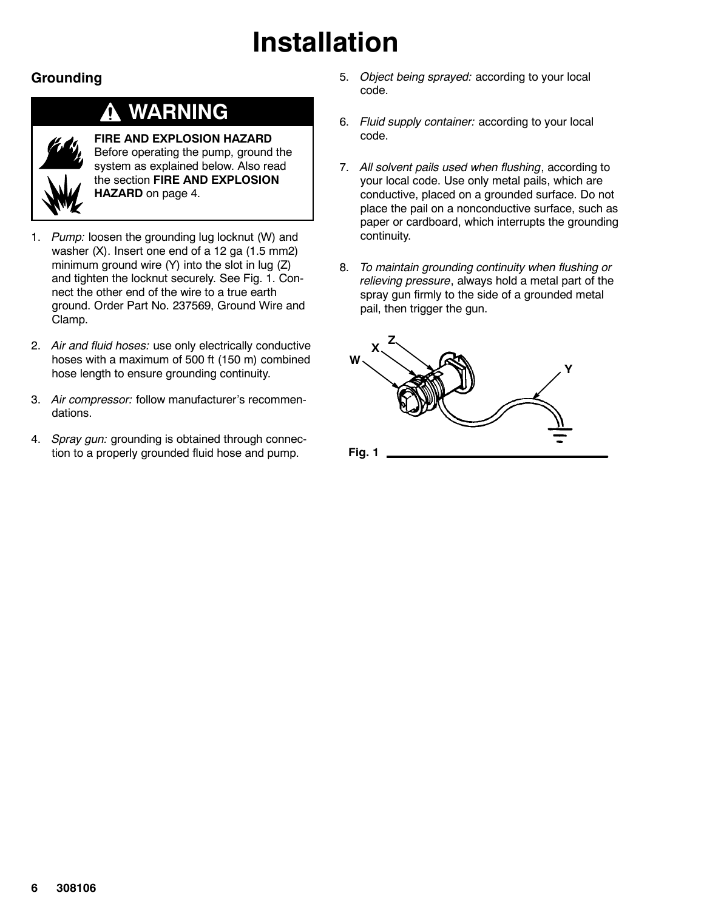# **Installation**

### **Grounding**

## **WARNING**

**FIRE AND EXPLOSION HAZARD** Before operating the pump, ground the system as explained below. Also read the section **FIRE AND EXPLOSION HAZARD** on page 4.

- 1. *Pump:* loosen the grounding lug locknut (W) and washer (X). Insert one end of a 12 ga (1.5 mm2) minimum ground wire (Y) into the slot in lug (Z) and tighten the locknut securely. See Fig. 1. Connect the other end of the wire to a true earth ground. Order Part No. 237569, Ground Wire and Clamp.
- 2. *Air and fluid hoses:* use only electrically conductive hoses with a maximum of 500 ft (150 m) combined hose length to ensure grounding continuity.
- 3. *Air compressor:* follow manufacturer's recommendations.
- 4. *Spray gun:* grounding is obtained through connection to a properly grounded fluid hose and pump.
- 5. *Object being sprayed:* according to your local code.
- 6. *Fluid supply container:* according to your local code.
- 7. *All solvent pails used when flushing*, according to your local code. Use only metal pails, which are conductive, placed on a grounded surface. Do not place the pail on a nonconductive surface, such as paper or cardboard, which interrupts the grounding continuity.
- 8. *To maintain grounding continuity when flushing or relieving pressure*, always hold a metal part of the spray gun firmly to the side of a grounded metal pail, then trigger the gun.

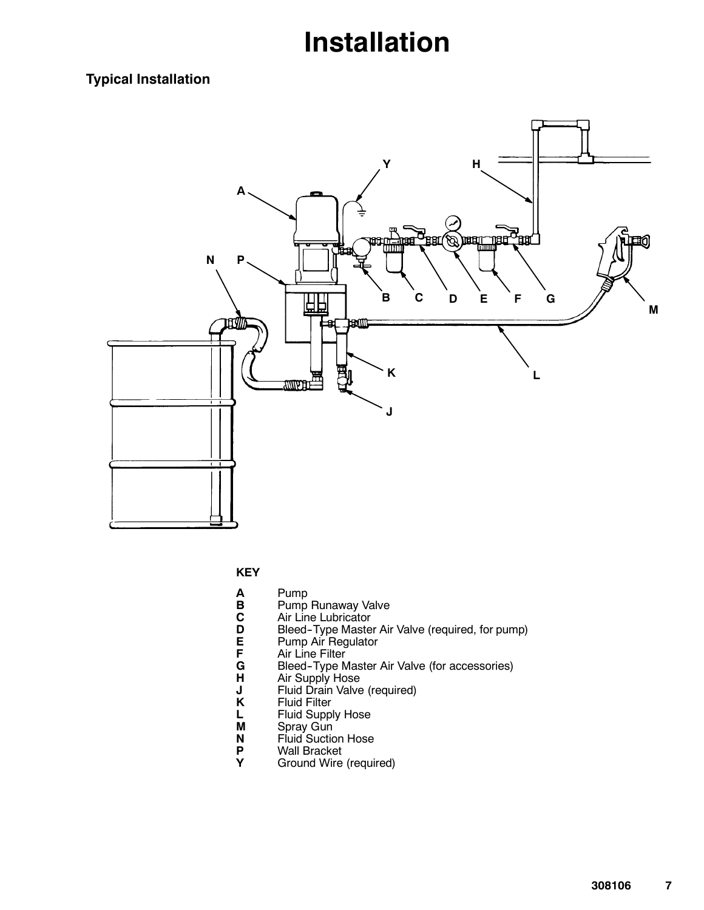## **Installation**

### **Typical Installation**



**KEY**

- 
- **A** Pump
- **B** Pump Runaway Valve<br>**C** Air Line Lubricator
- **C** Air Line Lubricator<br> **D** Bleed-Type Maste **D** Bleed-Type Master Air Valve (required, for pump)<br>**E** Pump Air Regulator
	-
	- Air Line Filter
- **E** Pump Air Regulator<br> **F** Air Line Filter<br> **G** Bleed-Type Master **G** Bleed-Type Master Air Valve (for accessories)<br>**H** Air Supply Hose
- **H** Air Supply Hose
- **J** Fluid Drain Valve (required)
- **K** Fluid Filter
- **L** Fluid Supply Hose
- **M** Spray Gun
- **N** Fluid Suction Hose
- **P** Wall Bracket<br>**Y** Ground Wire
- **Y** Ground Wire (required)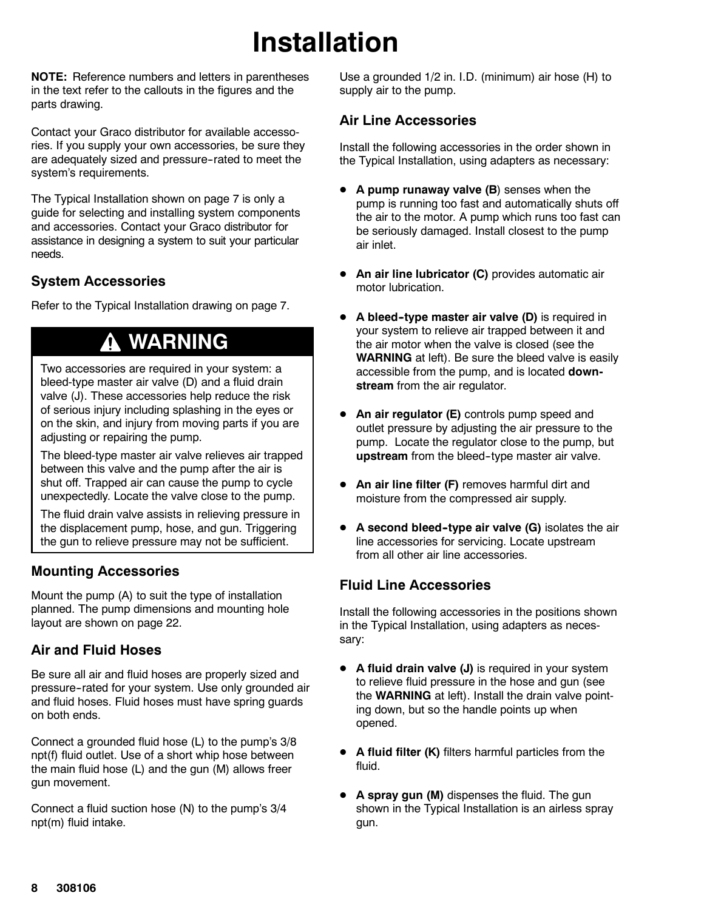# **Installation**

**NOTE:** Reference numbers and letters in parentheses in the text refer to the callouts in the figures and the parts drawing.

Contact your Graco distributor for available accessories. If you supply your own accessories, be sure they are adequately sized and pressure--rated to meet the system's requirements.

The Typical Installation shown on page 7 is only a guide for selecting and installing system components and accessories. Contact your Graco distributor for assistance in designing a system to suit your particular needs.

### **System Accessories**

Refer to the Typical Installation drawing on page 7.

## **WARNING**

Two accessories are required in your system: a bleed-type master air valve (D) and a fluid drain valve (J). These accessories help reduce the risk of serious injury including splashing in the eyes or on the skin, and injury from moving parts if you are adjusting or repairing the pump.

The bleed-type master air valve relieves air trapped between this valve and the pump after the air is shut off. Trapped air can cause the pump to cycle unexpectedly. Locate the valve close to the pump.

The fluid drain valve assists in relieving pressure in the displacement pump, hose, and gun. Triggering the gun to relieve pressure may not be sufficient.

### **Mounting Accessories**

Mount the pump (A) to suit the type of installation planned. The pump dimensions and mounting hole layout are shown on page 22.

### **Air and Fluid Hoses**

Be sure all air and fluid hoses are properly sized and pressure--rated for your system. Use only grounded air and fluid hoses. Fluid hoses must have spring guards on both ends.

Connect a grounded fluid hose (L) to the pump's 3/8 npt(f) fluid outlet. Use of a short whip hose between the main fluid hose (L) and the gun (M) allows freer gun movement.

Connect a fluid suction hose (N) to the pump's 3/4 npt(m) fluid intake.

Use a grounded 1/2 in. I.D. (minimum) air hose (H) to supply air to the pump.

### **Air Line Accessories**

Install the following accessories in the order shown in the Typical Installation, using adapters as necessary:

- **A pump runaway valve (B)** senses when the pump is running too fast and automatically shuts off the air to the motor. A pump which runs too fast can be seriously damaged. Install closest to the pump air inlet.
- **An air line lubricator (C)** provides automatic air motor lubrication.
- **•** A bleed-type master air valve (D) is required in your system to relieve air trapped between it and the air motor when the valve is closed (see the **WARNING** at left). Be sure the bleed valve is easily accessible from the pump, and is located **downstream** from the air regulator.
- **An air regulator (E)** controls pump speed and outlet pressure by adjusting the air pressure to the pump. Locate the regulator close to the pump, but upstream from the bleed-type master air valve.
- **An air line filter (F)** removes harmful dirt and moisture from the compressed air supply.
- **A second bleed-type air valve (G)** isolates the air line accessories for servicing. Locate upstream from all other air line accessories.

### **Fluid Line Accessories**

Install the following accessories in the positions shown in the Typical Installation, using adapters as necessary:

- **A fluid drain valve (J)** is required in your system to relieve fluid pressure in the hose and gun (see the **WARNING** at left). Install the drain valve pointing down, but so the handle points up when opened.
- A fluid filter (K) filters harmful particles from the fluid.
- **A spray gun (M)** dispenses the fluid. The gun shown in the Typical Installation is an airless spray gun.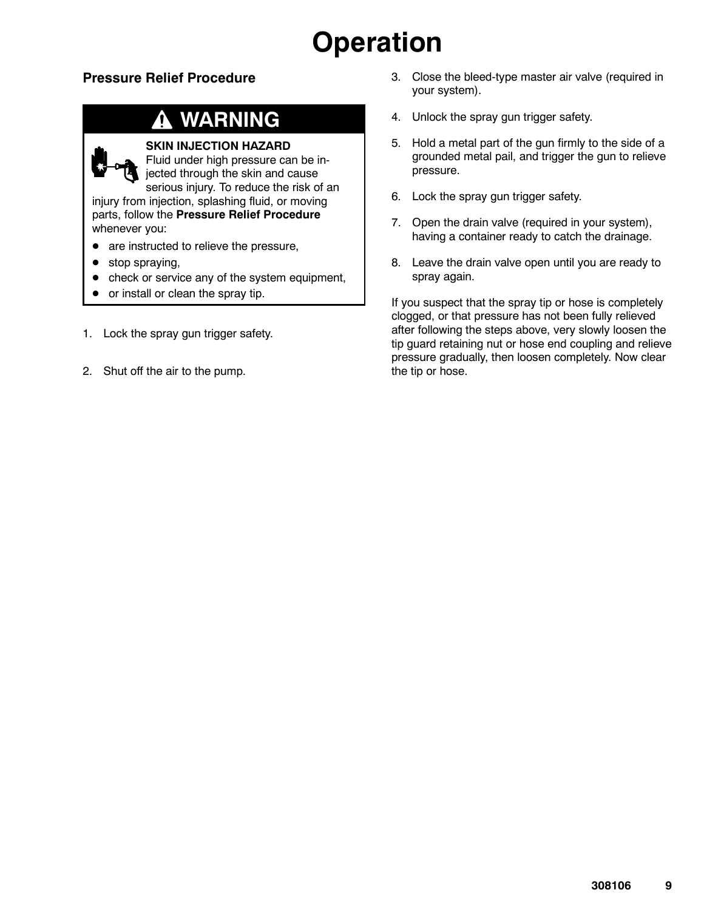# **Operation**

### **Pressure Relief Procedure**

## **WARNING**

### **SKIN INJECTION HAZARD**

Fluid under high pressure can be injected through the skin and cause serious injury. To reduce the risk of an

injury from injection, splashing fluid, or moving parts, follow the **Pressure Relief Procedure** whenever you:

- are instructed to relieve the pressure,
- $\bullet$  stop spraying,
- $\bullet$  check or service any of the system equipment,
- or install or clean the spray tip.
- 1. Lock the spray gun trigger safety.
- 2. Shut off the air to the pump.
- 3. Close the bleed-type master air valve (required in your system).
- 4. Unlock the spray gun trigger safety.
- 5. Hold a metal part of the gun firmly to the side of a grounded metal pail, and trigger the gun to relieve pressure.
- 6. Lock the spray gun trigger safety.
- 7. Open the drain valve (required in your system), having a container ready to catch the drainage.
- 8. Leave the drain valve open until you are ready to spray again.

If you suspect that the spray tip or hose is completely clogged, or that pressure has not been fully relieved after following the steps above, very slowly loosen the tip guard retaining nut or hose end coupling and relieve pressure gradually, then loosen completely. Now clear the tip or hose.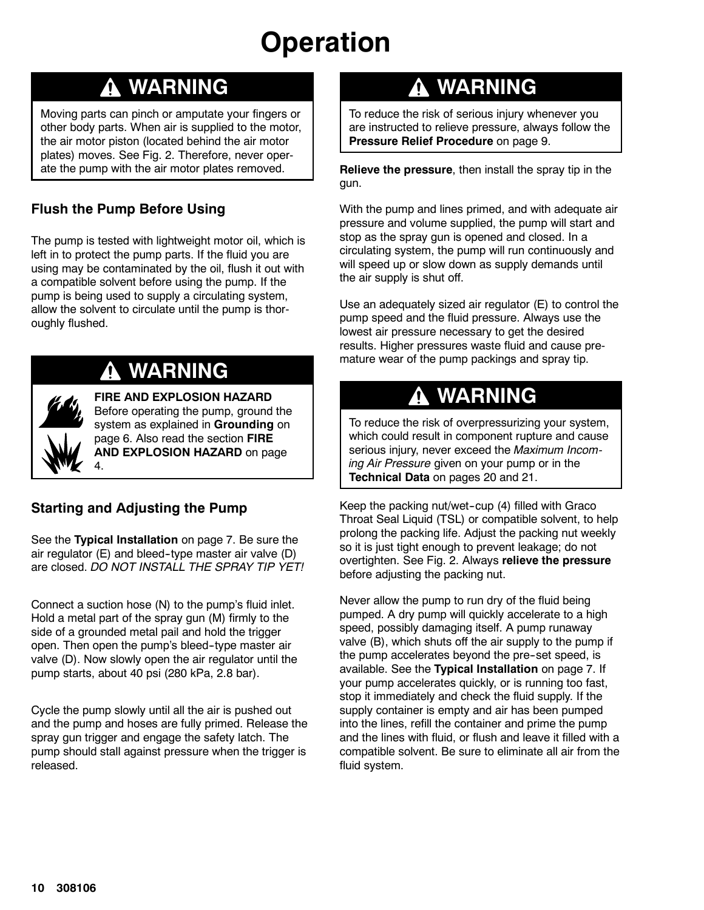# **Operation**

## **WARNING**

Moving parts can pinch or amputate your fingers or other body parts. When air is supplied to the motor, the air motor piston (located behind the air motor plates) moves. See Fig. 2. Therefore, never operate the pump with the air motor plates removed.

### **Flush the Pump Before Using**

The pump is tested with lightweight motor oil, which is left in to protect the pump parts. If the fluid you are using may be contaminated by the oil, flush it out with a compatible solvent before using the pump. If the pump is being used to supply a circulating system, allow the solvent to circulate until the pump is thoroughly flushed.



## **WARNING**

**FIRE AND EXPLOSION HAZARD** Before operating the pump, ground the system as explained in **Grounding** on page 6. Also read the section **FIRE AND EXPLOSION HAZARD** on page 4.

### **Starting and Adjusting the Pump**

See the **Typical Installation** on page 7. Be sure the air regulator (E) and bleed--type master air valve (D) are closed. *DO NOT INSTALL THE SPRAY TIP YET!*

Connect a suction hose (N) to the pump's fluid inlet. Hold a metal part of the spray gun (M) firmly to the side of a grounded metal pail and hold the trigger open. Then open the pump's bleed--type master air valve (D). Now slowly open the air regulator until the pump starts, about 40 psi (280 kPa, 2.8 bar).

Cycle the pump slowly until all the air is pushed out and the pump and hoses are fully primed. Release the spray gun trigger and engage the safety latch. The pump should stall against pressure when the trigger is released.

## **WARNING**

To reduce the risk of serious injury whenever you are instructed to relieve pressure, always follow the **Pressure Relief Procedure** on page 9.

**Relieve the pressure**, then install the spray tip in the gun.

With the pump and lines primed, and with adequate air pressure and volume supplied, the pump will start and stop as the spray gun is opened and closed. In a circulating system, the pump will run continuously and will speed up or slow down as supply demands until the air supply is shut off.

Use an adequately sized air regulator (E) to control the pump speed and the fluid pressure. Always use the lowest air pressure necessary to get the desired results. Higher pressures waste fluid and cause premature wear of the pump packings and spray tip.

## **WARNING**

To reduce the risk of overpressurizing your system, which could result in component rupture and cause serious injury, never exceed the *Maximum Incoming Air Pressure* given on your pump or in the **Technical Data** on pages 20 and 21.

Keep the packing nut/wet-cup (4) filled with Graco Throat Seal Liquid (TSL) or compatible solvent, to help prolong the packing life. Adjust the packing nut weekly so it is just tight enough to prevent leakage; do not overtighten. See Fig. 2. Always **relieve the pressure** before adjusting the packing nut.

Never allow the pump to run dry of the fluid being pumped. A dry pump will quickly accelerate to a high speed, possibly damaging itself. A pump runaway valve (B), which shuts off the air supply to the pump if the pump accelerates beyond the pre-set speed, is available. See the **Typical Installation** on page 7. If your pump accelerates quickly, or is running too fast, stop it immediately and check the fluid supply. If the supply container is empty and air has been pumped into the lines, refill the container and prime the pump and the lines with fluid, or flush and leave it filled with a compatible solvent. Be sure to eliminate all air from the fluid system.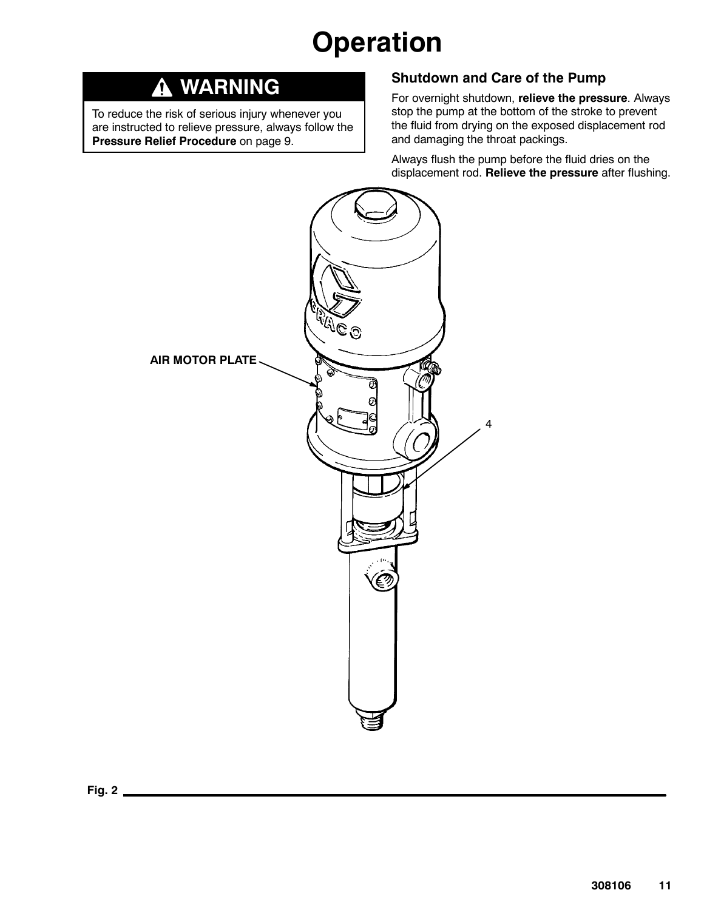# **Operation**

#### **WARNING** Δ

To reduce the risk of serious injury whenever you are instructed to relieve pressure, always follow the **Pressure Relief Procedure** on page 9.

### **Shutdown and Care of the Pump**

For overnight shutdown, **relieve the pressure**. Always stop the pump at the bottom of the stroke to prevent the fluid from drying on the exposed displacement rod and damaging the throat packings.

Always flush the pump before the fluid dries on the displacement rod. **Relieve the pressure** after flushing.

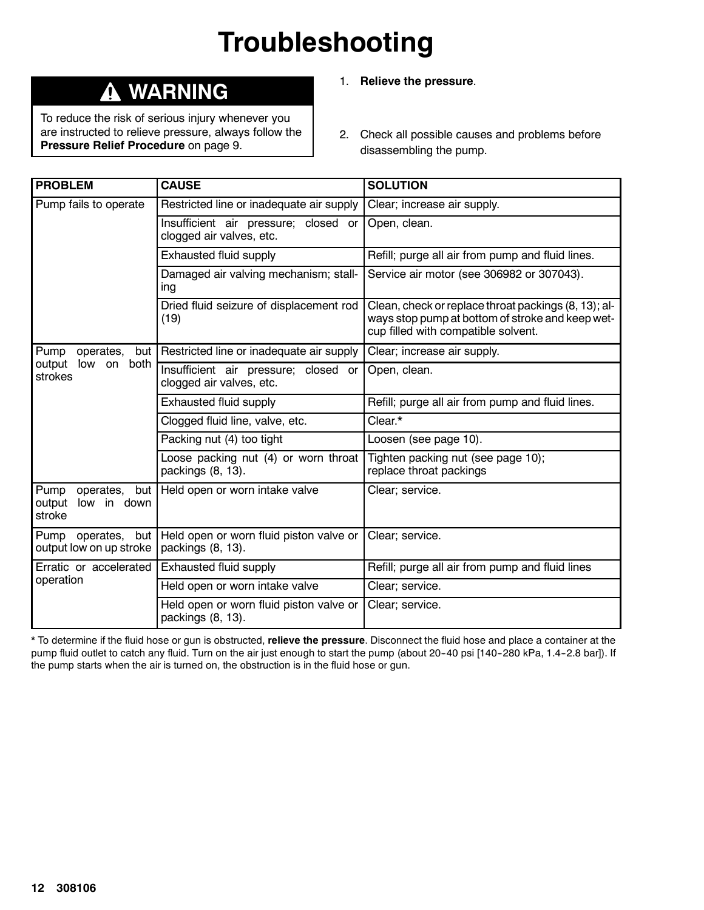## **Troubleshooting**

## **WARNING**

To reduce the risk of serious injury whenever you are instructed to relieve pressure, always follow the **Pressure Relief Procedure** on page 9.

- 1. **Relieve the pressure**.
- 2. Check all possible causes and problems before disassembling the pump.

| <b>PROBLEM</b>                                                | <b>CAUSE</b>                                                     | <b>SOLUTION</b>                                                                                                                                 |
|---------------------------------------------------------------|------------------------------------------------------------------|-------------------------------------------------------------------------------------------------------------------------------------------------|
| Pump fails to operate                                         | Restricted line or inadequate air supply                         | Clear; increase air supply.                                                                                                                     |
|                                                               | Insufficient air pressure; closed or<br>clogged air valves, etc. | Open, clean.                                                                                                                                    |
|                                                               | Exhausted fluid supply                                           | Refill; purge all air from pump and fluid lines.                                                                                                |
|                                                               | Damaged air valving mechanism; stall-<br>ing                     | Service air motor (see 306982 or 307043).                                                                                                       |
|                                                               | Dried fluid seizure of displacement rod<br>(19)                  | Clean, check or replace throat packings (8, 13); al-<br>ways stop pump at bottom of stroke and keep wet-<br>cup filled with compatible solvent. |
| operates,<br>Pump<br>but I                                    | Restricted line or inadequate air supply                         | Clear; increase air supply.                                                                                                                     |
| output low on<br>both<br>strokes                              | Insufficient air pressure; closed or<br>clogged air valves, etc. | Open, clean.                                                                                                                                    |
|                                                               | Exhausted fluid supply                                           | Refill; purge all air from pump and fluid lines.                                                                                                |
|                                                               | Clogged fluid line, valve, etc.                                  | Clear.*                                                                                                                                         |
|                                                               | Packing nut (4) too tight                                        | Loosen (see page 10).                                                                                                                           |
|                                                               | Loose packing nut (4) or worn throat<br>packings (8, 13).        | Tighten packing nut (see page 10);<br>replace throat packings                                                                                   |
| Pump<br>operates,<br>but  <br>output<br>low in down<br>stroke | Held open or worn intake valve                                   | Clear; service.                                                                                                                                 |
| Pump operates,<br>but  <br>output low on up stroke            | Held open or worn fluid piston valve or<br>packings (8, 13).     | Clear; service.                                                                                                                                 |
| Erratic or accelerated                                        | Exhausted fluid supply                                           | Refill; purge all air from pump and fluid lines                                                                                                 |
| operation                                                     | Held open or worn intake valve                                   | Clear; service.                                                                                                                                 |
|                                                               | Held open or worn fluid piston valve or<br>packings (8, 13).     | Clear; service.                                                                                                                                 |

\* To determine if the fluid hose or gun is obstructed, **relieve the pressure**. Disconnect the fluid hose and place a container at the pump fluid outlet to catch any fluid. Turn on the air just enough to start the pump (about 20-40 psi [140-280 kPa, 1.4-2.8 bar]). If the pump starts when the air is turned on, the obstruction is in the fluid hose or gun.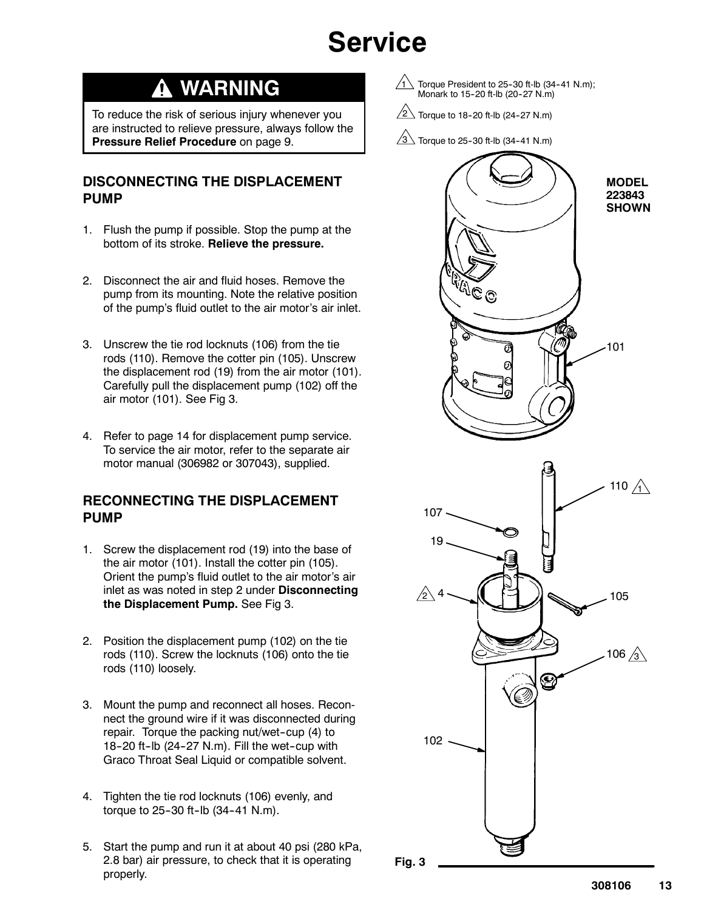## **Service**

## **WARNING**

To reduce the risk of serious injury whenever you are instructed to relieve pressure, always follow the **Pressure Relief Procedure** on page 9.

### **DISCONNECTING THE DISPLACEMENT PUMP**

- 1. Flush the pump if possible. Stop the pump at the bottom of its stroke. **Relieve the pressure.**
- 2. Disconnect the air and fluid hoses. Remove the pump from its mounting. Note the relative position of the pump's fluid outlet to the air motor's air inlet.
- 3. Unscrew the tie rod locknuts (106) from the tie rods (110). Remove the cotter pin (105). Unscrew the displacement rod (19) from the air motor (101). Carefully pull the displacement pump (102) off the air motor (101). See Fig 3.
- 4. Refer to page 14 for displacement pump service. To service the air motor, refer to the separate air motor manual (306982 or 307043), supplied.

### **RECONNECTING THE DISPLACEMENT PUMP**

- 1. Screw the displacement rod (19) into the base of the air motor (101). Install the cotter pin (105). Orient the pump's fluid outlet to the air motor's air inlet as was noted in step 2 under **Disconnecting the Displacement Pump.** See Fig 3.
- 2. Position the displacement pump (102) on the tie rods (110). Screw the locknuts (106) onto the tie rods (110) loosely.
- 3. Mount the pump and reconnect all hoses. Reconnect the ground wire if it was disconnected during repair. Torque the packing nut/wet-cup (4) to 18-20 ft-lb  $(24-27 \text{ N.m})$ . Fill the wet-cup with Graco Throat Seal Liquid or compatible solvent.
- 4. Tighten the tie rod locknuts (106) evenly, and torque to  $25-30$  ft-lb  $(34-41 \text{ N.m})$ .
- 5. Start the pump and run it at about 40 psi (280 kPa, 2.8 bar) air pressure, to check that it is operating properly.
- 1 Torque President to 25-30 ft-lb (34-41 N.m); Monark to 15-20 ft-lb (20-27 N.m)
- $2\sqrt{2}$  Torque to 18-20 ft-lb (24-27 N.m)
- $3\overline{\smash{\big)}\,}$  Torque to 25-30 ft-lb (34-41 N.m)



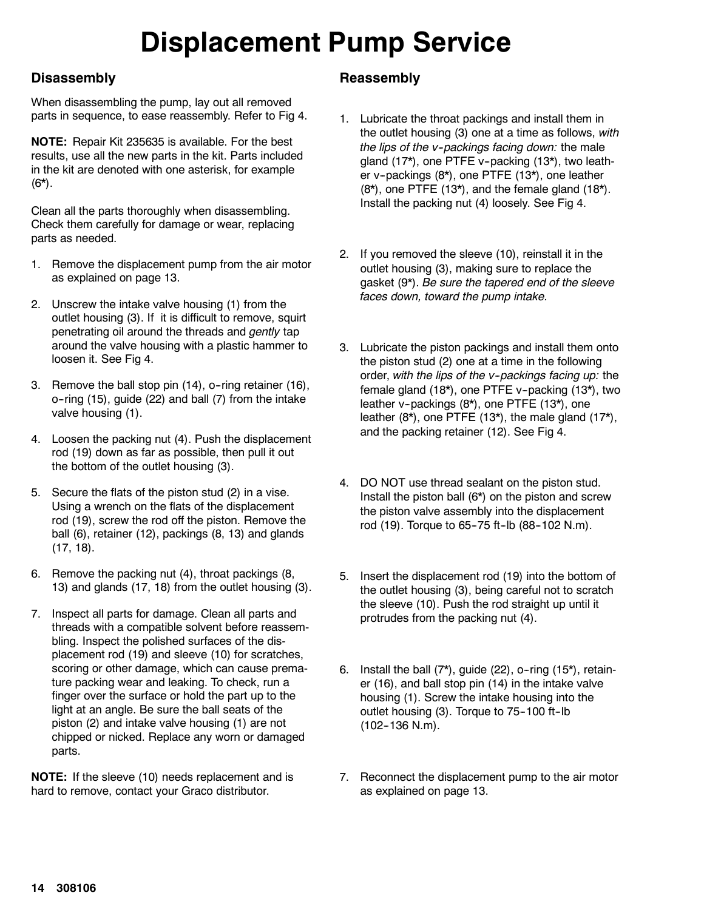# **Displacement Pump Service**

### **Disassembly**

When disassembling the pump, lay out all removed parts in sequence, to ease reassembly. Refer to Fig 4.

**NOTE:** Repair Kit 235635 is available. For the best results, use all the new parts in the kit. Parts included in the kit are denoted with one asterisk, for example  $(6^{\star})$ .

Clean all the parts thoroughly when disassembling. Check them carefully for damage or wear, replacing parts as needed.

- 1. Remove the displacement pump from the air motor as explained on page 13.
- 2. Unscrew the intake valve housing (1) from the outlet housing (3). If it is difficult to remove, squirt penetrating oil around the threads and *gently* tap around the valve housing with a plastic hammer to loosen it. See Fig 4.
- 3. Remove the ball stop pin (14), o-ring retainer (16),  $o$ -ring (15), guide (22) and ball (7) from the intake valve housing (1).
- 4. Loosen the packing nut (4). Push the displacement rod (19) down as far as possible, then pull it out the bottom of the outlet housing (3).
- 5. Secure the flats of the piston stud (2) in a vise. Using a wrench on the flats of the displacement rod (19), screw the rod off the piston. Remove the ball (6), retainer (12), packings (8, 13) and glands (17, 18).
- 6. Remove the packing nut (4), throat packings (8, 13) and glands (17, 18) from the outlet housing (3).
- 7. Inspect all parts for damage. Clean all parts and threads with a compatible solvent before reassembling. Inspect the polished surfaces of the displacement rod (19) and sleeve (10) for scratches, scoring or other damage, which can cause premature packing wear and leaking. To check, run a finger over the surface or hold the part up to the light at an angle. Be sure the ball seats of the piston (2) and intake valve housing (1) are not chipped or nicked. Replace any worn or damaged parts.

**NOTE:** If the sleeve (10) needs replacement and is hard to remove, contact your Graco distributor.

### **Reassembly**

- 1. Lubricate the throat packings and install them in the outlet housing (3) one at a time as follows, *with the lips of the v--packings facing down:* the male gland (17\*), one PTFE v--packing (13\*), two leather v-packings (8\*), one PTFE (13\*), one leather  $(8<sup>*</sup>)$ , one PTFE  $(13<sup>*</sup>)$ , and the female gland  $(18<sup>*</sup>)$ . Install the packing nut (4) loosely. See Fig 4.
- 2. If you removed the sleeve (10), reinstall it in the outlet housing (3), making sure to replace the gasket (9\*). *Be sure the tapered end of the sleeve faces down, toward the pump intake.*
- 3. Lubricate the piston packings and install them onto the piston stud (2) one at a time in the following order, *with the lips of the v--packings facing up:* the female gland (18\*), one PTFE v-packing (13\*), two leather v-packings (8\*), one PTFE (13\*), one leather (8\*), one PTFE (13\*), the male gland (17\*), and the packing retainer (12). See Fig 4.
- 4. DO NOT use thread sealant on the piston stud. Install the piston ball (6\*) on the piston and screw the piston valve assembly into the displacement rod (19). Torque to 65-75 ft-lb (88-102 N.m).
- 5. Insert the displacement rod (19) into the bottom of the outlet housing (3), being careful not to scratch the sleeve (10). Push the rod straight up until it protrudes from the packing nut (4).
- 6. Install the ball  $(7^*)$ , guide  $(22)$ , o-ring  $(15^*)$ , retainer (16), and ball stop pin (14) in the intake valve housing (1). Screw the intake housing into the outlet housing (3). Torque to 75-100 ft-lb  $(102-136$  N.m).
- 7. Reconnect the displacement pump to the air motor as explained on page 13.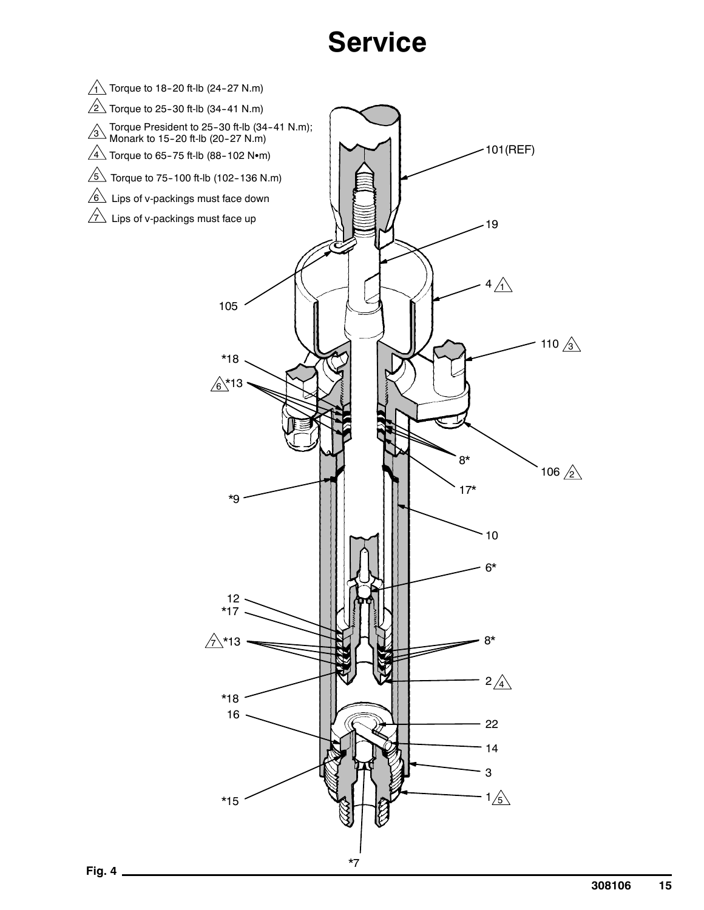## **Service**

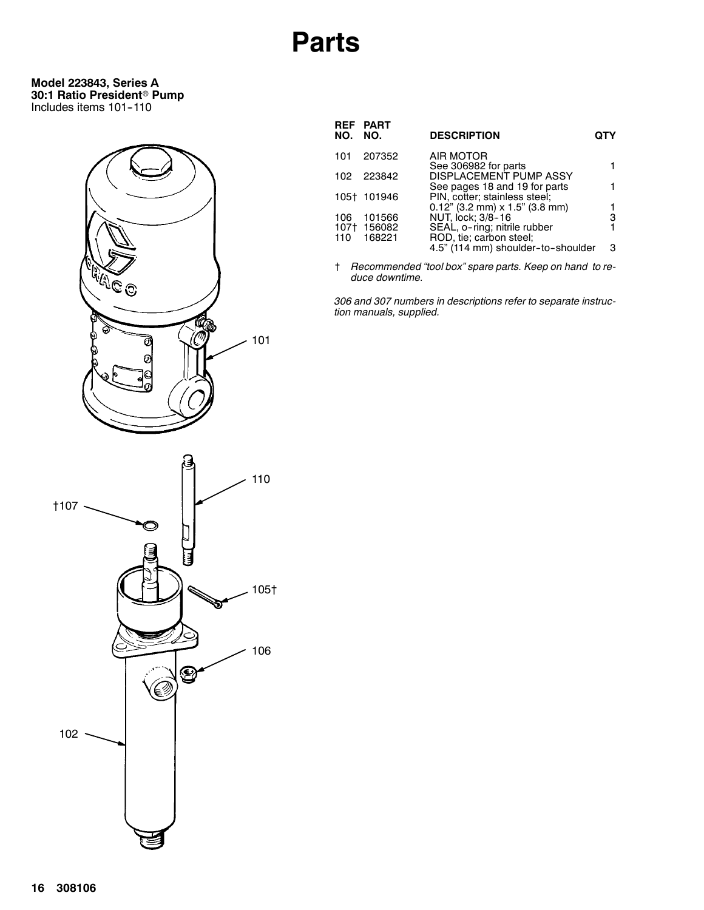#### **Model 223843, Series A 30:1 Ratio President® Pump** Includes items 101--110



| <b>DESCRIPTION</b><br><b>NO. NO.</b>                                              |   |
|-----------------------------------------------------------------------------------|---|
| AIR MOTOR<br>207352<br>101<br>See 306982 for parts                                |   |
| DISPLACEMENT PUMP ASSY<br>223842<br>102<br>See pages 18 and 19 for parts          |   |
| PIN, cotter; stainless steel;<br>105† 101946<br>$0.12$ " (3.2 mm) x 1.5" (3.8 mm) |   |
| NUT, lock; 3/8-16<br>101566<br>106                                                | з |
| SEAL, o-ring; nitrile rubber<br>156082<br>107†                                    |   |
| ROD, tie; carbon steel;<br>110 168221<br>4.5" (114 mm) shoulder-to-shoulder       | з |

† *Recommended "tool box" spare parts. Keep on hand to reduce downtime.*

*306 and 307 numbers in descriptions refer to separate instruction manuals, supplied.*

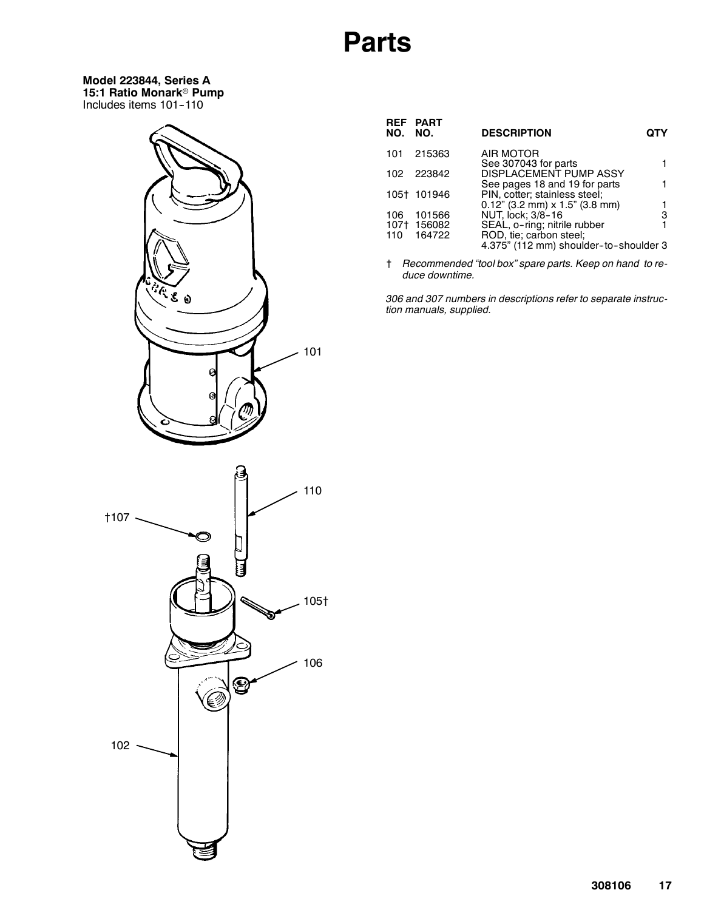**Model 223844, Series A 15:1 Ratio Monark® Pump** Includes items 101-110



| NO. NO. | REF PART    | <b>DESCRIPTION</b>                                                 | OTY |
|---------|-------------|--------------------------------------------------------------------|-----|
|         | 101 215363  | AIR MOTOR                                                          |     |
|         | 102 223842  | See 307043 for parts<br><b>DISPLACEMENT PUMP ASSY</b>              |     |
|         |             | See pages 18 and 19 for parts                                      |     |
|         | 105† 101946 | PIN, cotter; stainless steel;<br>$0.12$ " (3.2 mm) x 1.5" (3.8 mm) |     |
| 106     | 101566      | NUT, lock; 3/8-16                                                  | з   |
|         | 107† 156082 | SEAL, o-ring; nitrile rubber                                       |     |
|         | 110 164722  | ROD, tie; carbon steel;                                            |     |

4.375" (112 mm) shoulder-to-shoulder 3

† *Recommended "tool box" spare parts. Keep on hand to reduce downtime.*

*306 and 307 numbers in descriptions refer to separate instruction manuals, supplied.*

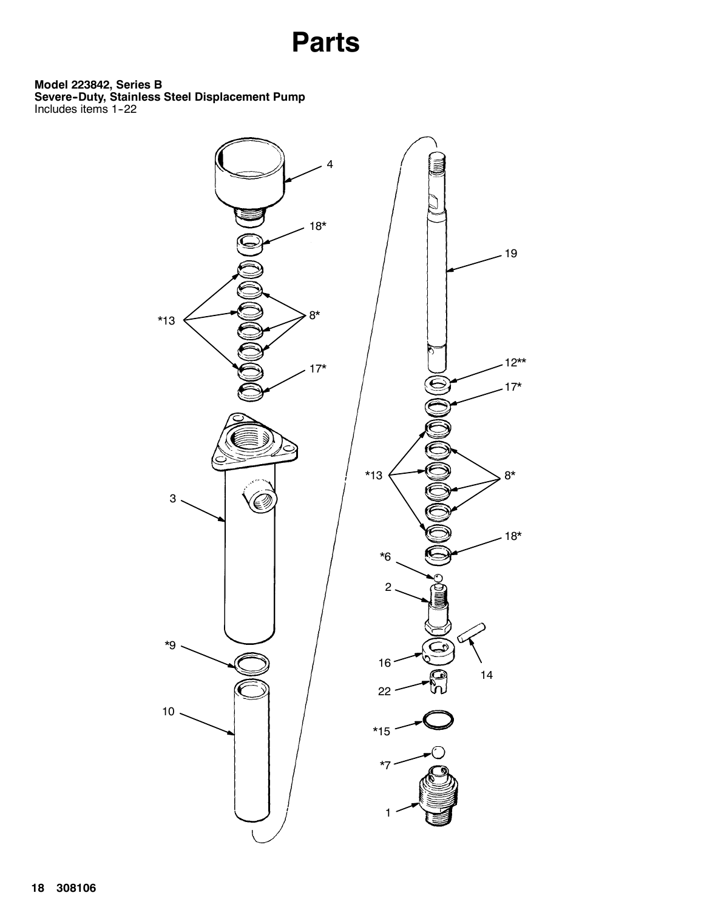**Model 223842, Series B**

**Severe--Duty, Stainless Steel Displacement Pump** Includes items 1-22

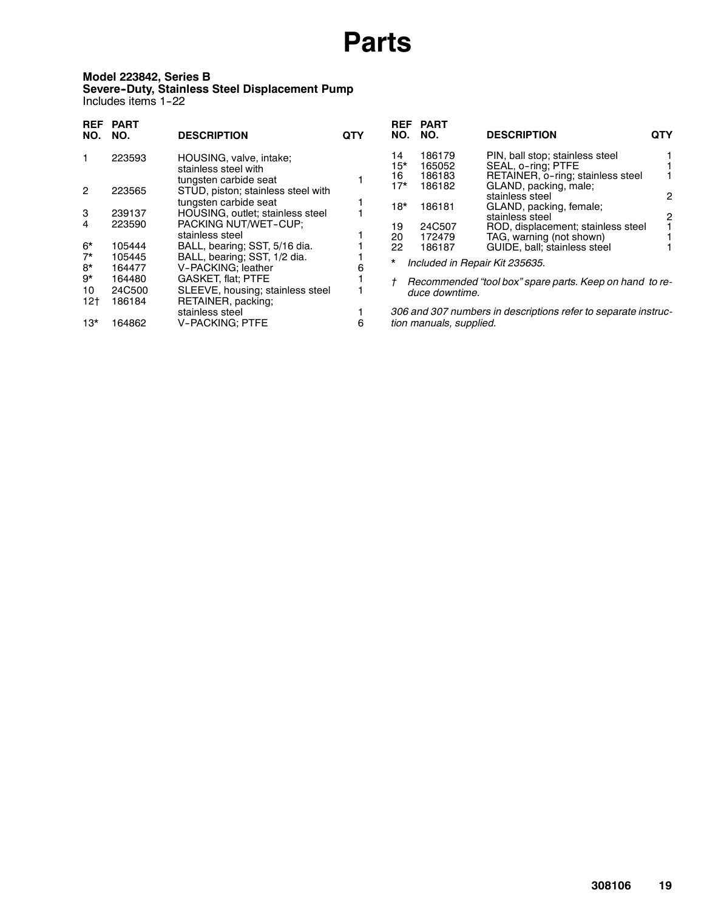#### **Model 223842, Series B Severe--Duty, Stainless Steel Displacement Pump** Includes items 1-22

| NO.    | <b>DESCRIPTION</b>                        | QTY                                                                                                                                                                                                                                                       | <b>REF</b><br>NO. | PART<br>NO.                                    | <b>DESCRIPTION</b>                                                 | QTY                                                                                                                                                                                                                                                                                                                                                                                                                                                             |
|--------|-------------------------------------------|-----------------------------------------------------------------------------------------------------------------------------------------------------------------------------------------------------------------------------------------------------------|-------------------|------------------------------------------------|--------------------------------------------------------------------|-----------------------------------------------------------------------------------------------------------------------------------------------------------------------------------------------------------------------------------------------------------------------------------------------------------------------------------------------------------------------------------------------------------------------------------------------------------------|
| 223593 | HOUSING, valve, intake;                   |                                                                                                                                                                                                                                                           | 14                | 186179                                         | PIN, ball stop; stainless steel                                    |                                                                                                                                                                                                                                                                                                                                                                                                                                                                 |
|        | stainless steel with                      |                                                                                                                                                                                                                                                           |                   |                                                |                                                                    |                                                                                                                                                                                                                                                                                                                                                                                                                                                                 |
|        | tungsten carbide seat                     |                                                                                                                                                                                                                                                           |                   |                                                |                                                                    |                                                                                                                                                                                                                                                                                                                                                                                                                                                                 |
| 223565 | STUD, piston; stainless steel with        |                                                                                                                                                                                                                                                           |                   |                                                |                                                                    |                                                                                                                                                                                                                                                                                                                                                                                                                                                                 |
|        | tungsten carbide seat                     |                                                                                                                                                                                                                                                           |                   |                                                |                                                                    | 2                                                                                                                                                                                                                                                                                                                                                                                                                                                               |
| 239137 |                                           |                                                                                                                                                                                                                                                           |                   |                                                |                                                                    | 2                                                                                                                                                                                                                                                                                                                                                                                                                                                               |
|        |                                           |                                                                                                                                                                                                                                                           |                   |                                                |                                                                    |                                                                                                                                                                                                                                                                                                                                                                                                                                                                 |
|        | stainless steel                           |                                                                                                                                                                                                                                                           |                   |                                                |                                                                    |                                                                                                                                                                                                                                                                                                                                                                                                                                                                 |
| 105444 |                                           |                                                                                                                                                                                                                                                           |                   |                                                |                                                                    |                                                                                                                                                                                                                                                                                                                                                                                                                                                                 |
| 105445 |                                           |                                                                                                                                                                                                                                                           |                   |                                                |                                                                    |                                                                                                                                                                                                                                                                                                                                                                                                                                                                 |
| 164477 |                                           |                                                                                                                                                                                                                                                           |                   |                                                |                                                                    |                                                                                                                                                                                                                                                                                                                                                                                                                                                                 |
| 164480 |                                           |                                                                                                                                                                                                                                                           |                   |                                                |                                                                    |                                                                                                                                                                                                                                                                                                                                                                                                                                                                 |
|        |                                           |                                                                                                                                                                                                                                                           |                   |                                                |                                                                    |                                                                                                                                                                                                                                                                                                                                                                                                                                                                 |
|        |                                           |                                                                                                                                                                                                                                                           |                   |                                                |                                                                    |                                                                                                                                                                                                                                                                                                                                                                                                                                                                 |
|        |                                           |                                                                                                                                                                                                                                                           |                   |                                                |                                                                    |                                                                                                                                                                                                                                                                                                                                                                                                                                                                 |
| 164862 | <b>V-PACKING; PTFE</b>                    | 6                                                                                                                                                                                                                                                         |                   |                                                |                                                                    |                                                                                                                                                                                                                                                                                                                                                                                                                                                                 |
|        | <b>PART</b><br>223590<br>24C500<br>186184 | HOUSING, outlet; stainless steel<br>PACKING NUT/WET-CUP;<br>BALL, bearing; SST, 5/16 dia.<br>BALL, bearing; SST, 1/2 dia.<br>V-PACKING; leather<br><b>GASKET, flat; PTFE</b><br>SLEEVE, housing; stainless steel<br>RETAINER, packing;<br>stainless steel |                   | 15*<br>16<br>17*<br>18*<br>19<br>20<br>22<br>* | 165052<br>186183<br>186182<br>186181<br>24C507<br>172479<br>186187 | SEAL, o-ring; PTFE<br>RETAINER, o-ring; stainless steel<br>GLAND, packing, male;<br>stainless steel<br>GLAND, packing, female;<br>stainless steel<br>ROD, displacement; stainless steel<br>TAG, warning (not shown)<br>GUIDE, ball: stainless steel<br>Included in Repair Kit 235635.<br>Recommended "tool box" spare parts. Keep on hand to re-<br>duce downtime.<br>306 and 307 numbers in descriptions refer to separate instruc-<br>tion manuals, supplied. |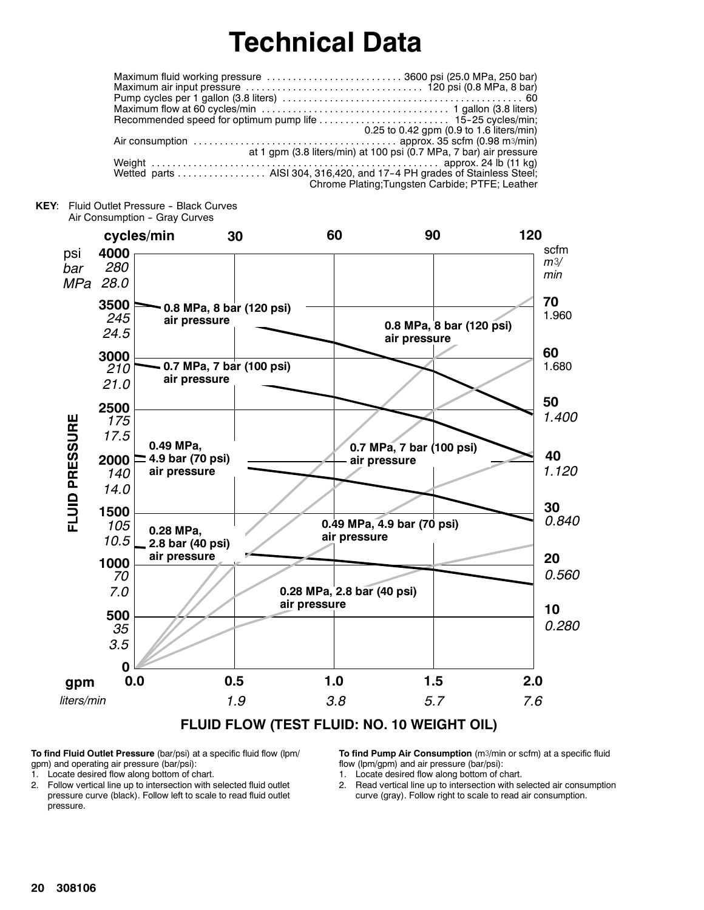## **Technical Data**

| Maximum fluid working pressure 3600 psi (25.0 MPa, 250 bar)                                                                  |
|------------------------------------------------------------------------------------------------------------------------------|
|                                                                                                                              |
|                                                                                                                              |
|                                                                                                                              |
|                                                                                                                              |
| 0.25 to 0.42 gpm (0.9 to 1.6 liters/min)                                                                                     |
| Air consumption $\ldots \ldots \ldots \ldots \ldots \ldots \ldots \ldots \ldots \ldots \ldots$ approx. 35 scfm (0.98 m3/min) |
| at 1 gpm (3.8 liters/min) at 100 psi (0.7 MPa, 7 bar) air pressure                                                           |
|                                                                                                                              |
|                                                                                                                              |
| Chrome Plating; Tungsten Carbide; PTFE; Leather                                                                              |
|                                                                                                                              |

KEY: Fluid Outlet Pressure - Black Curves Air Consumption - Gray Curves



**FLUID FLOW (TEST FLUID: NO. 10 WEIGHT OIL)**

**To find Fluid Outlet Pressure** (bar/psi) at a specific fluid flow (lpm/ gpm) and operating air pressure (bar/psi):

1. Locate desired flow along bottom of chart.

2. Follow vertical line up to intersection with selected fluid outlet pressure curve (black). Follow left to scale to read fluid outlet pressure.

**To find Pump Air Consumption** (m3/min or scfm) at a specific fluid flow (lpm/gpm) and air pressure (bar/psi):

1. Locate desired flow along bottom of chart.

2. Read vertical line up to intersection with selected air consumption curve (gray). Follow right to scale to read air consumption.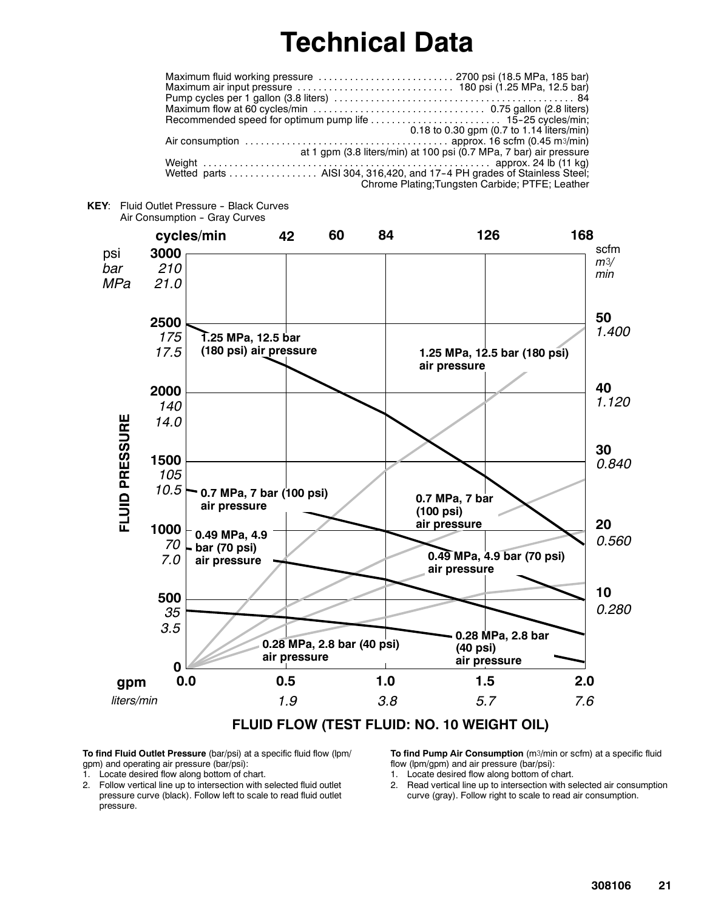## **Technical Data**

| 0.18 to 0.30 gpm (0.7 to 1.14 liters/min)                                |
|--------------------------------------------------------------------------|
|                                                                          |
| at 1 gpm (3.8 liters/min) at 100 psi (0.7 MPa, 7 bar) air pressure       |
|                                                                          |
| Wetted parts  AISI 304, 316, 420, and 17-4 PH grades of Stainless Steel; |
| Chrome Plating; Tungsten Carbide; PTFE; Leather                          |
|                                                                          |





**FLUID FLOW (TEST FLUID: NO. 10 WEIGHT OIL)**

**To find Fluid Outlet Pressure** (bar/psi) at a specific fluid flow (lpm/ gpm) and operating air pressure (bar/psi):

1. Locate desired flow along bottom of chart.

2. Follow vertical line up to intersection with selected fluid outlet pressure curve (black). Follow left to scale to read fluid outlet pressure.

**To find Pump Air Consumption** (m3/min or scfm) at a specific fluid flow (lpm/gpm) and air pressure (bar/psi):

- 1. Locate desired flow along bottom of chart.
- 2. Read vertical line up to intersection with selected air consumption curve (gray). Follow right to scale to read air consumption.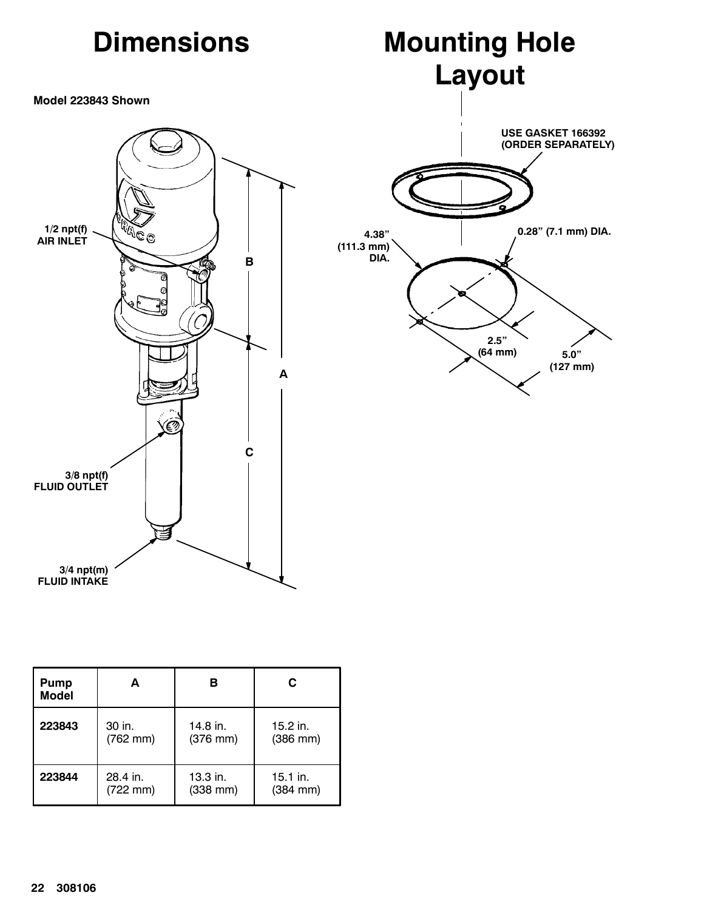

| <b>Pump</b><br><b>Model</b> | А          | в                    | C             |
|-----------------------------|------------|----------------------|---------------|
| 223843                      | 30 in.     | 14.8 in.             | 15.2 in.      |
|                             | $(762$ mm) | $(376 \, \text{mm})$ | $(386$ mm $)$ |
| 223844                      | 28.4 in.   | $13.3$ in.           | $15.1$ in.    |
|                             | (722 mm)   | $(338$ mm $)$        | $(384$ mm $)$ |